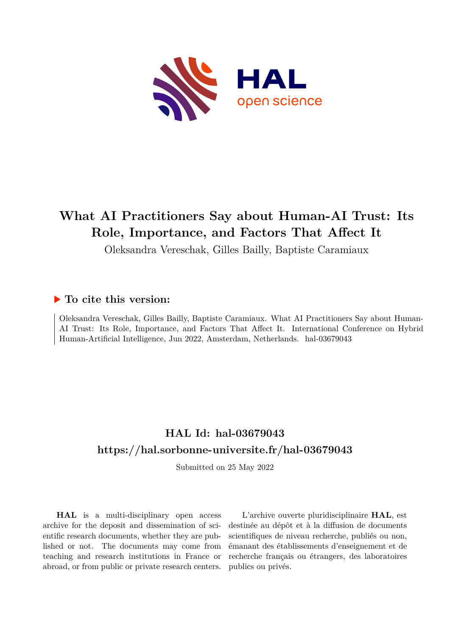

## **What AI Practitioners Say about Human-AI Trust: Its Role, Importance, and Factors That Affect It**

Oleksandra Vereschak, Gilles Bailly, Baptiste Caramiaux

### **To cite this version:**

Oleksandra Vereschak, Gilles Bailly, Baptiste Caramiaux. What AI Practitioners Say about Human-AI Trust: Its Role, Importance, and Factors That Affect It. International Conference on Hybrid Human-Artificial Intelligence, Jun 2022, Amsterdam, Netherlands. hal-03679043

## **HAL Id: hal-03679043 <https://hal.sorbonne-universite.fr/hal-03679043>**

Submitted on 25 May 2022

**HAL** is a multi-disciplinary open access archive for the deposit and dissemination of scientific research documents, whether they are published or not. The documents may come from teaching and research institutions in France or abroad, or from public or private research centers.

L'archive ouverte pluridisciplinaire **HAL**, est destinée au dépôt et à la diffusion de documents scientifiques de niveau recherche, publiés ou non, émanant des établissements d'enseignement et de recherche français ou étrangers, des laboratoires publics ou privés.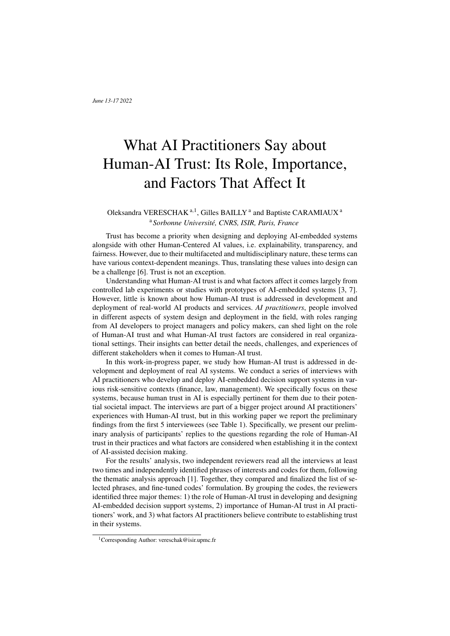*June 13-17 2022*

# What AI Practitioners Say about Human-AI Trust: Its Role, Importance, and Factors That Affect It

### Oleksandra VERESCHAK<sup>a, 1</sup>, Gilles BAILLY<sup>a</sup> and Baptiste CARAMIAUX<sup>a</sup> <sup>a</sup> *Sorbonne Universite, CNRS, ISIR, Paris, France ´*

Trust has become a priority when designing and deploying AI-embedded systems alongside with other Human-Centered AI values, i.e. explainability, transparency, and fairness. However, due to their multifaceted and multidisciplinary nature, these terms can have various context-dependent meanings. Thus, translating these values into design can be a challenge [6]. Trust is not an exception.

Understanding what Human-AI trust is and what factors affect it comes largely from controlled lab experiments or studies with prototypes of AI-embedded systems [3, 7]. However, little is known about how Human-AI trust is addressed in development and deployment of real-world AI products and services. *AI practitioners*, people involved in different aspects of system design and deployment in the field, with roles ranging from AI developers to project managers and policy makers, can shed light on the role of Human-AI trust and what Human-AI trust factors are considered in real organizational settings. Their insights can better detail the needs, challenges, and experiences of different stakeholders when it comes to Human-AI trust.

In this work-in-progress paper, we study how Human-AI trust is addressed in development and deployment of real AI systems. We conduct a series of interviews with AI practitioners who develop and deploy AI-embedded decision support systems in various risk-sensitive contexts (finance, law, management). We specifically focus on these systems, because human trust in AI is especially pertinent for them due to their potential societal impact. The interviews are part of a bigger project around AI practitioners' experiences with Human-AI trust, but in this working paper we report the preliminary findings from the first 5 interviewees (see Table 1). Specifically, we present our preliminary analysis of participants' replies to the questions regarding the role of Human-AI trust in their practices and what factors are considered when establishing it in the context of AI-assisted decision making.

For the results' analysis, two independent reviewers read all the interviews at least two times and independently identified phrases of interests and codes for them, following the thematic analysis approach [1]. Together, they compared and finalized the list of selected phrases, and fine-tuned codes' formulation. By grouping the codes, the reviewers identified three major themes: 1) the role of Human-AI trust in developing and designing AI-embedded decision support systems, 2) importance of Human-AI trust in AI practitioners' work, and 3) what factors AI practitioners believe contribute to establishing trust in their systems.

<sup>1</sup>Corresponding Author: vereschak@isir.upmc.fr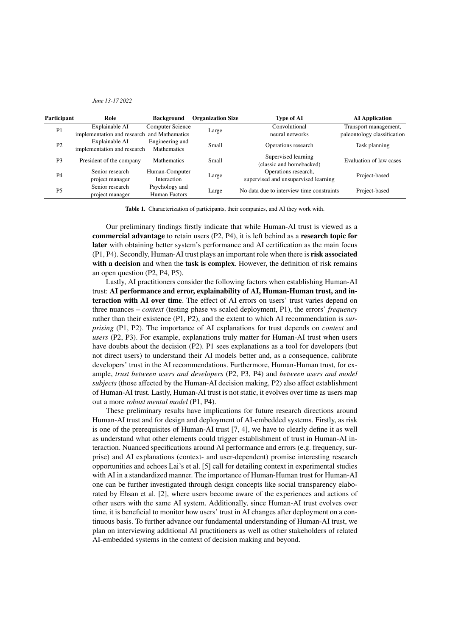*June 13-17 2022*

| Participant    | Role                                        | <b>Background</b>  | <b>Organization Size</b> | <b>Type of AI</b>                         | <b>AI</b> Application       |
|----------------|---------------------------------------------|--------------------|--------------------------|-------------------------------------------|-----------------------------|
| P <sub>1</sub> | Explainable AI                              | Computer Science   | Large                    | Convolutional                             | Transport management,       |
|                | implementation and research and Mathematics |                    |                          | neural networks                           | paleontology classification |
| P <sub>2</sub> | Explainable AI                              | Engineering and    | Small                    | Operations research                       | Task planning               |
|                | implementation and research                 | Mathematics        |                          |                                           |                             |
| P <sub>3</sub> | President of the company                    | <b>Mathematics</b> | Small                    | Supervised learning                       | Evaluation of law cases     |
|                |                                             |                    |                          | (classic and homebacked)                  |                             |
| P <sub>4</sub> | Senior research                             | Human-Computer     | Large                    | Operations research,                      | Project-based               |
|                | project manager                             | Interaction        |                          | supervised and unsupervised learning      |                             |
| P <sub>5</sub> | Senior research                             | Psychology and     | Large                    | No data due to interview time constraints | Project-based               |
|                | project manager                             | Human Factors      |                          |                                           |                             |

Table 1. Characterization of participants, their companies, and AI they work with.

Our preliminary findings firstly indicate that while Human-AI trust is viewed as a commercial advantage to retain users (P2, P4), it is left behind as a research topic for later with obtaining better system's performance and AI certification as the main focus (P1, P4). Secondly, Human-AI trust plays an important role when there is risk associated with a decision and when the task is complex. However, the definition of risk remains an open question (P2, P4, P5).

Lastly, AI practitioners consider the following factors when establishing Human-AI trust: AI performance and error, explainability of AI, Human-Human trust, and interaction with AI over time. The effect of AI errors on users' trust varies depend on three nuances – *context* (testing phase vs scaled deployment, P1), the errors' *frequency* rather than their existence (P1, P2), and the extent to which AI recommendation is *surprising* (P1, P2). The importance of AI explanations for trust depends on *context* and *users* (P2, P3). For example, explanations truly matter for Human-AI trust when users have doubts about the decision (P2). P1 sees explanations as a tool for developers (but not direct users) to understand their AI models better and, as a consequence, calibrate developers' trust in the AI recommendations. Furthermore, Human-Human trust, for example, *trust between users and developers* (P2, P3, P4) and *between users and model subjects* (those affected by the Human-AI decision making, P2) also affect establishment of Human-AI trust. Lastly, Human-AI trust is not static, it evolves over time as users map out a more *robust mental model* (P1, P4).

These preliminary results have implications for future research directions around Human-AI trust and for design and deployment of AI-embedded systems. Firstly, as risk is one of the prerequisites of Human-AI trust [7, 4], we have to clearly define it as well as understand what other elements could trigger establishment of trust in Human-AI interaction. Nuanced specifications around AI performance and errors (e.g. frequency, surprise) and AI explanations (context- and user-dependent) promise interesting research opportunities and echoes Lai's et al. [5] call for detailing context in experimental studies with AI in a standardized manner. The importance of Human-Human trust for Human-AI one can be further investigated through design concepts like social transparency elaborated by Ehsan et al. [2], where users become aware of the experiences and actions of other users with the same AI system. Additionally, since Human-AI trust evolves over time, it is beneficial to monitor how users' trust in AI changes after deployment on a continuous basis. To further advance our fundamental understanding of Human-AI trust, we plan on interviewing additional AI practitioners as well as other stakeholders of related AI-embedded systems in the context of decision making and beyond.